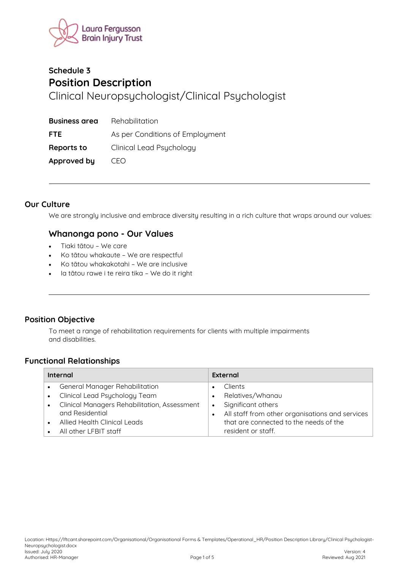

# Schedule 3 **Position Description** Clinical Neuropsychologist/Clinical Psychologist

| <b>Business area</b> | Rehabilitation                  |
|----------------------|---------------------------------|
| <b>FTE</b>           | As per Conditions of Employment |
| Reports to           | Clinical Lead Psychology        |
| Approved by          | CFO                             |

#### **Our Culture**

We are strongly inclusive and embrace diversity resulting in a rich culture that wraps around our values:

## Whanonga pono - Our Values

- Tiaki tātou We care  $\bullet$
- Ko tātou whakaute We are respectful  $\ddot{\phantom{a}}$
- Ko tātou whakakotahi We are inclusive  $\bullet$
- la tātou rawe i te reira tika We do it right

## **Position Objective**

To meet a range of rehabilitation requirements for clients with multiple impairments and disabilities.

#### **Functional Relationships**

| Internal                                     |           | External                                        |
|----------------------------------------------|-----------|-------------------------------------------------|
| <b>General Manager Rehabilitation</b>        |           | Clients                                         |
| Clinical Lead Psychology Team                |           | Relatives/Whanau                                |
| Clinical Managers Rehabilitation, Assessment | $\bullet$ | Significant others                              |
| and Residential                              |           | All staff from other organisations and services |
| Allied Health Clinical Leads                 |           | that are connected to the needs of the          |
| All other LFBIT staff                        |           | resident or staff.                              |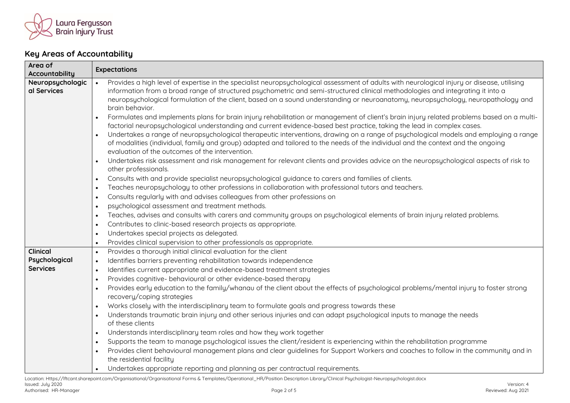

## **Key Areas of Accountability**

| Area of                                             | <b>Expectations</b>                                                                                                                                                                                                                                                                                                                                                                                                                                                                                                                                                                                                                                                                                                                                                                                                                                                                                                                                                                                                                                                                                                                                                                                                                                                                                                                                                                 |  |
|-----------------------------------------------------|-------------------------------------------------------------------------------------------------------------------------------------------------------------------------------------------------------------------------------------------------------------------------------------------------------------------------------------------------------------------------------------------------------------------------------------------------------------------------------------------------------------------------------------------------------------------------------------------------------------------------------------------------------------------------------------------------------------------------------------------------------------------------------------------------------------------------------------------------------------------------------------------------------------------------------------------------------------------------------------------------------------------------------------------------------------------------------------------------------------------------------------------------------------------------------------------------------------------------------------------------------------------------------------------------------------------------------------------------------------------------------------|--|
| Accountability<br>Neuropsychologic<br>al Services   | Provides a high level of expertise in the specialist neuropsychological assessment of adults with neurological injury or disease, utilising<br>$\bullet$<br>information from a broad range of structured psychometric and semi-structured clinical methodologies and integrating it into a<br>neuropsychological formulation of the client, based on a sound understanding or neuroanatomy, neuropsychology, neuropathology and<br>brain behavior.<br>Formulates and implements plans for brain injury rehabilitation or management of client's brain injury related problems based on a multi-<br>$\bullet$<br>factorial neuropsychological understanding and current evidence-based best practice, taking the lead in complex cases.<br>Undertakes a range of neuropsychological therapeutic interventions, drawing on a range of psychological models and employing a range<br>$\bullet$<br>of modalities (individual, family and group) adapted and tailored to the needs of the individual and the context and the ongoing<br>evaluation of the outcomes of the intervention.<br>Undertakes risk assessment and risk management for relevant clients and provides advice on the neuropsychological aspects of risk to<br>$\bullet$<br>other professionals.<br>Consults with and provide specialist neuropsychological guidance to carers and families of clients.<br>$\bullet$ |  |
|                                                     | Teaches neuropsychology to other professions in collaboration with professional tutors and teachers.<br>$\bullet$<br>Consults regularly with and advises colleagues from other professions on<br>$\bullet$<br>psychological assessment and treatment methods.<br>$\bullet$<br>Teaches, advises and consults with carers and community groups on psychological elements of brain injury related problems.<br>$\bullet$<br>Contributes to clinic-based research projects as appropriate.<br>$\bullet$<br>Undertakes special projects as delegated.<br>$\bullet$<br>Provides clinical supervision to other professionals as appropriate.<br>$\bullet$                                                                                                                                                                                                                                                                                                                                                                                                                                                                                                                                                                                                                                                                                                                                  |  |
| <b>Clinical</b><br>Psychological<br><b>Services</b> | Provides a thorough initial clinical evaluation for the client<br>$\bullet$<br>Identifies barriers preventing rehabilitation towards independence<br>$\bullet$<br>Identifies current appropriate and evidence-based treatment strategies<br>$\bullet$<br>Provides cognitive- behavioural or other evidence-based therapy<br>$\bullet$<br>Provides early education to the family/whanau of the client about the effects of psychological problems/mental injury to foster strong<br>$\bullet$<br>recovery/coping strategies<br>Works closely with the interdisciplinary team to formulate goals and progress towards these<br>$\bullet$<br>Understands traumatic brain injury and other serious injuries and can adapt psychological inputs to manage the needs<br>$\bullet$<br>of these clients<br>Understands interdisciplinary team roles and how they work together<br>$\bullet$<br>Supports the team to manage psychological issues the client/resident is experiencing within the rehabilitation programme<br>$\bullet$<br>Provides client behavioural management plans and clear guidelines for Support Workers and coaches to follow in the community and in<br>$\bullet$<br>the residential facility<br>Undertakes appropriate reporting and planning as per contractual requirements.                                                                                      |  |

Location: Https://lftcant.sharepoint.com/Organisational/Organisational Forms & Templates/Operational\_HR/Position Description Library/Clinical Psychologist-Neuropsychologist.docx<br>Issued: July 2020 Issued: July 2020 Version: 4 Authorised: HR-Manager Page 2 of 5 Reviewed: Aug 2021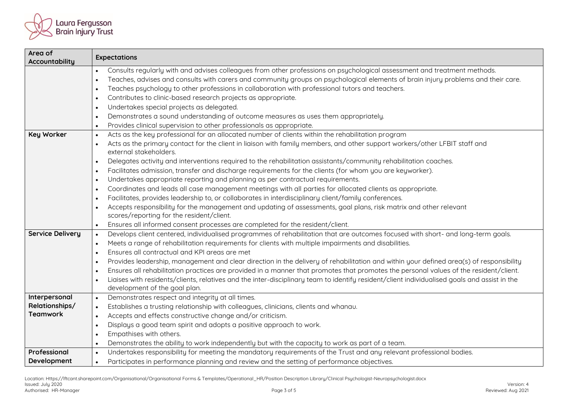

| Area of<br>Accountability | <b>Expectations</b>                                                                                                                                               |  |
|---------------------------|-------------------------------------------------------------------------------------------------------------------------------------------------------------------|--|
|                           | Consults regularly with and advises colleagues from other professions on psychological assessment and treatment methods.<br>$\bullet$                             |  |
|                           | Teaches, advises and consults with carers and community groups on psychological elements of brain injury problems and their care.<br>$\bullet$                    |  |
|                           | Teaches psychology to other professions in collaboration with professional tutors and teachers.<br>$\bullet$                                                      |  |
|                           | Contributes to clinic-based research projects as appropriate.<br>$\bullet$                                                                                        |  |
|                           | Undertakes special projects as delegated.<br>$\bullet$                                                                                                            |  |
|                           | Demonstrates a sound understanding of outcome measures as uses them appropriately.<br>$\bullet$                                                                   |  |
|                           | Provides clinical supervision to other professionals as appropriate.<br>$\bullet$                                                                                 |  |
| <b>Key Worker</b>         | Acts as the key professional for an allocated number of clients within the rehabilitation program<br>$\bullet$                                                    |  |
|                           | Acts as the primary contact for the client in liaison with family members, and other support workers/other LFBIT staff and<br>$\bullet$<br>external stakeholders. |  |
|                           | Delegates activity and interventions required to the rehabilitation assistants/community rehabilitation coaches.<br>$\bullet$                                     |  |
|                           | Facilitates admission, transfer and discharge requirements for the clients (for whom you are keyworker).<br>$\bullet$                                             |  |
|                           | Undertakes appropriate reporting and planning as per contractual requirements.<br>$\bullet$                                                                       |  |
|                           | Coordinates and leads all case management meetings with all parties for allocated clients as appropriate.<br>$\bullet$                                            |  |
|                           | Facilitates, provides leadership to, or collaborates in interdisciplinary client/family conferences.<br>$\bullet$                                                 |  |
|                           | Accepts responsibility for the management and updating of assessments, goal plans, risk matrix and other relevant<br>$\bullet$                                    |  |
|                           | scores/reporting for the resident/client.                                                                                                                         |  |
|                           | Ensures all informed consent processes are completed for the resident/client.<br>$\bullet$                                                                        |  |
| <b>Service Delivery</b>   | Develops client centered, individualised programmes of rehabilitation that are outcomes focused with short- and long-term goals.<br>$\bullet$                     |  |
|                           | Meets a range of rehabilitation requirements for clients with multiple impairments and disabilities.<br>$\bullet$                                                 |  |
|                           | Ensures all contractual and KPI areas are met<br>$\bullet$                                                                                                        |  |
|                           | Provides leadership, management and clear direction in the delivery of rehabilitation and within your defined area(s) of responsibility<br>$\bullet$              |  |
|                           | Ensures all rehabilitation practices are provided in a manner that promotes that promotes the personal values of the resident/client.<br>$\bullet$                |  |
|                           | Liaises with residents/clients, relatives and the inter-disciplinary team to identify resident/client individualised goals and assist in the                      |  |
| Interpersonal             | development of the goal plan.<br>Demonstrates respect and integrity at all times.                                                                                 |  |
| Relationships/            | $\bullet$<br>Establishes a trusting relationship with colleagues, clinicians, clients and whanau.                                                                 |  |
| <b>Teamwork</b>           | $\bullet$<br>Accepts and effects constructive change and/or criticism.<br>$\bullet$                                                                               |  |
|                           | Displays a good team spirit and adopts a positive approach to work.<br>$\bullet$                                                                                  |  |
|                           | Empathises with others.<br>$\bullet$                                                                                                                              |  |
|                           | Demonstrates the ability to work independently but with the capacity to work as part of a team.<br>$\bullet$                                                      |  |
| Professional              | Undertakes responsibility for meeting the mandatory requirements of the Trust and any relevant professional bodies.<br>$\bullet$                                  |  |
| Development               | Participates in performance planning and review and the setting of performance objectives.<br>$\bullet$                                                           |  |
|                           |                                                                                                                                                                   |  |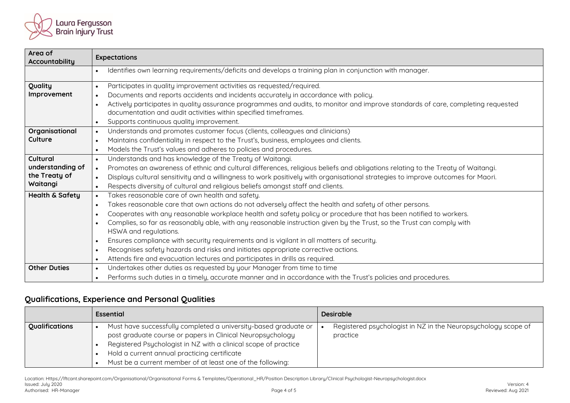

| Area of<br>Accountability | <b>Expectations</b>                                                                                                                           |
|---------------------------|-----------------------------------------------------------------------------------------------------------------------------------------------|
|                           | Identifies own learning requirements/deficits and develops a training plan in conjunction with manager.<br>$\bullet$                          |
| Quality                   | Participates in quality improvement activities as requested/required.                                                                         |
| Improvement               | Documents and reports accidents and incidents accurately in accordance with policy.<br>$\bullet$                                              |
|                           | Actively participates in quality assurance programmes and audits, to monitor and improve standards of care, completing requested<br>$\bullet$ |
|                           | documentation and audit activities within specified timeframes.                                                                               |
|                           | Supports continuous quality improvement.<br>$\bullet$                                                                                         |
| Organisational            | Understands and promotes customer focus (clients, colleagues and clinicians)<br>$\bullet$                                                     |
| Culture                   | Maintains confidentiality in respect to the Trust's, business, employees and clients.<br>$\bullet$                                            |
|                           | Models the Trust's values and adheres to policies and procedures.<br>$\bullet$                                                                |
| Cultural                  | Understands and has knowledge of the Treaty of Waitangi.<br>$\bullet$                                                                         |
| understanding of          | Promotes an awareness of ethnic and cultural differences, religious beliefs and obligations relating to the Treaty of Waitangi.<br>$\bullet$  |
| the Treaty of             | Displays cultural sensitivity and a willingness to work positively with organisational strategies to improve outcomes for Maori.<br>$\bullet$ |
| Waitangi                  | Respects diversity of cultural and religious beliefs amongst staff and clients.<br>$\bullet$                                                  |
| Health & Safety           | Takes reasonable care of own health and safety.<br>$\bullet$                                                                                  |
|                           | Takes reasonable care that own actions do not adversely affect the health and safety of other persons.<br>$\bullet$                           |
|                           | Cooperates with any reasonable workplace health and safety policy or procedure that has been notified to workers.<br>$\bullet$                |
|                           | Complies, so far as reasonably able, with any reasonable instruction given by the Trust, so the Trust can comply with<br>$\bullet$            |
|                           | HSWA and regulations.                                                                                                                         |
|                           | Ensures compliance with security requirements and is vigilant in all matters of security.<br>$\bullet$                                        |
|                           | Recognises safety hazards and risks and initiates appropriate corrective actions.<br>$\bullet$                                                |
|                           | Attends fire and evacuation lectures and participates in drills as required.<br>$\bullet$                                                     |
| <b>Other Duties</b>       | Undertakes other duties as requested by your Manager from time to time<br>$\bullet$                                                           |
|                           | Performs such duties in a timely, accurate manner and in accordance with the Trust's policies and procedures.<br>$\bullet$                    |

## **Qualifications, Experience and Personal Qualities**

|                | <b>Essential</b>                                                                                                                                                                                                                                                                                               | <b>Desirable</b>                                                          |
|----------------|----------------------------------------------------------------------------------------------------------------------------------------------------------------------------------------------------------------------------------------------------------------------------------------------------------------|---------------------------------------------------------------------------|
| Qualifications | Must have successfully completed a university-based graduate or<br>post graduate course or papers in Clinical Neuropsychology<br>Registered Psychologist in NZ with a clinical scope of practice<br>Hold a current annual practicing certificate<br>Must be a current member of at least one of the following: | Registered psychologist in NZ in the Neuropsychology scope of<br>practice |

Location: Https://lftcant.sharepoint.com/Organisational/Organisational Forms & Templates/Operational\_HR/Position Description Library/Clinical Psychologist-Neuropsychologist.docx<br>Issued: July 2020 Issued: July 2020 Version: 4 Authorised: HR-Manager Page 4 of 5 Reviewed: Aug 2021